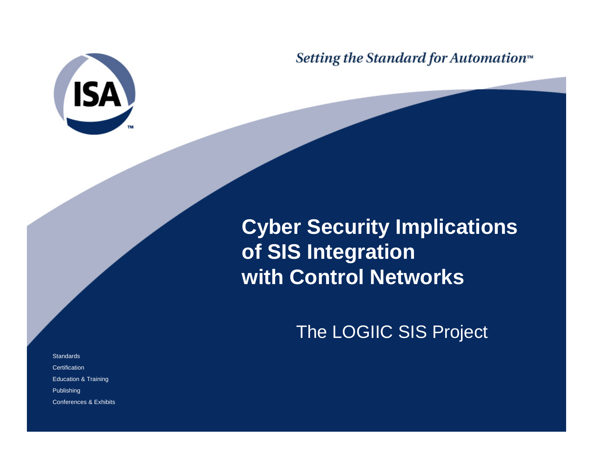

Setting the Standard for Automation<sup>™</sup>

## **Cyber Security Implications of SIS Integration with Control Networks**

The LOGIIC SIS Project

**Standards Certification** Education & Training Publishing Conferences & Exhibits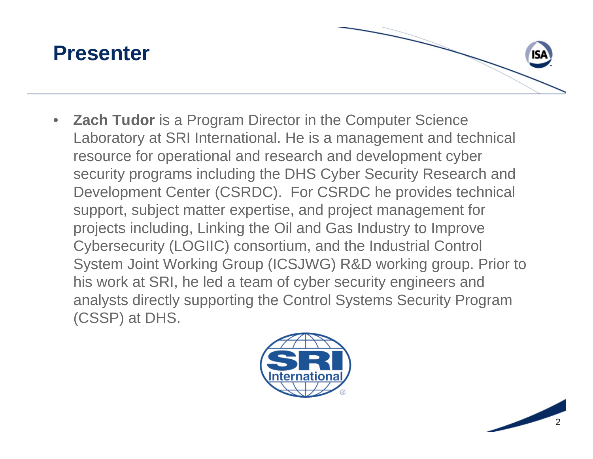

 $\bullet$  **Zach Tudor** is a Program Director in the Computer Science Laboratory at SRI International. He is a management and technical resource for operational and research and development cyber security programs including the DHS Cyber Security Research and Development Center (CSRDC). For CSRDC he provides technical support, subject matter expertise, and project management for projects including, Linking the Oil and Gas Industry to Improve Cybersecurity (LOGIIC) consortium, and the Industrial Control System Joint Working Group (ICSJWG) R&D working group. Prior to his work at SRI, he led a team of cyber security engineers and analysts directly supporting the Control Systems Security Program (CSSP) at DHS.



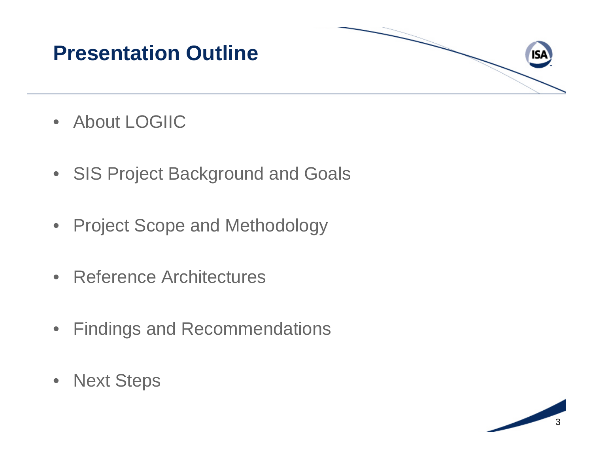### **Presentation Outline**

- About LOGIIC
- SIS Project Background and Goals
- Project Scope and Methodology
- Reference Architectures
- $\bullet$ Findings and Recommendations
- Next Steps

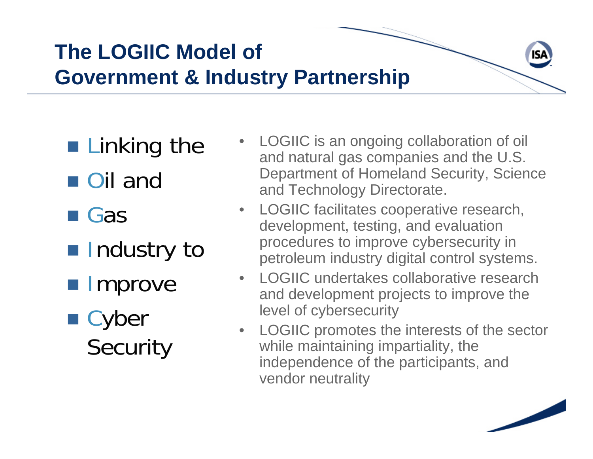# **The LOGIIC Model of Government & Industry Partnership**

- **Example Linking the**
- Oil and
- **Gas**
- **Industry to**
- **Improve**
- Cyber **Security**
- • LOGIIC is an ongoing collaboration of oil and natural gas companies and the U.S. Department of Homeland Security, Science and Technology Directorate.
- • LOGIIC facilitates cooperative research, development, testing, and evaluation procedures to improve cybersecurity in petroleum industry digital control systems.
- • LOGIIC undertakes collaborative research and development projects to improve the level of cybersecurity
- $\bullet$  LOGIIC promotes the interests of the sector while maintaining impartiality, the independence of the participants, and vendor neutrality

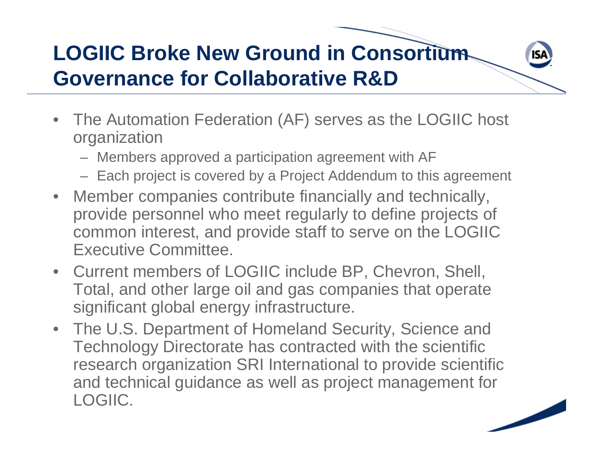# **LOGIIC Broke New Ground in Consortium Governance for Collaborative R&D**

- The Automation Federation (AF) serves as the LOGIIC host organization
	- Members approved a participation agreement with AF
	- Each project is covered by a Project Addendum to this agreement
- $\bullet$  Member companies contribute financially and technically, provide personnel who meet regularly to define projects of common interest, and provide staff to serve on the LOGIIC Executive Committee.
- Current members of LOGIIC include BP, Chevron, Shell, Total, and other large oil and gas companies that operate significant global energy infrastructure.
- The U.S. Department of Homeland Security, Science and Technology Directorate has contracted with the scientific research organization SRI International to provide scientific and technical guidance as well as project management for LOGIIC.

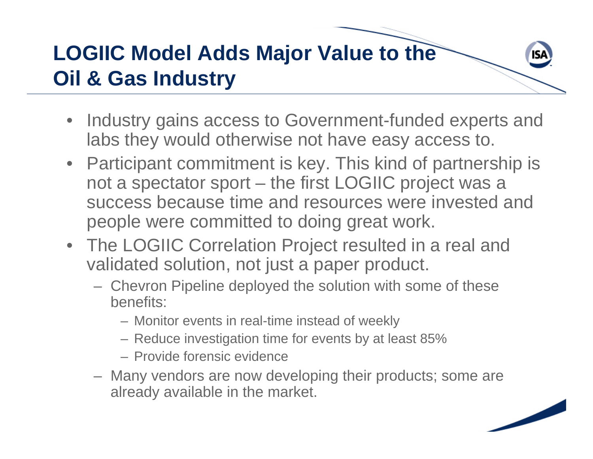# **LOGIIC Model Adds Major Value to the Oil & Gas Industry**

- Industry gains access to Government-funded experts and labs they would otherwise not have easy access to.
- Participant commitment is key. This kind of partnership is not a spectator sport – the first LOGIIC project was a success because time and resources were invested and people were committed to doing great work.
- The LOGIIC Correlation Project resulted in a real and validated solution, not just a paper product.
	- $\mathcal{L}_{\mathcal{A}}$  Chevron Pipeline deployed the solution with some of these benefits:
		- Monitor events in real-time instead of weekly
		- Reduce investigation time for events by at least 85%
		- Provide forensic evidence
	- Many vendors are now developing their products; some are already available in the market.

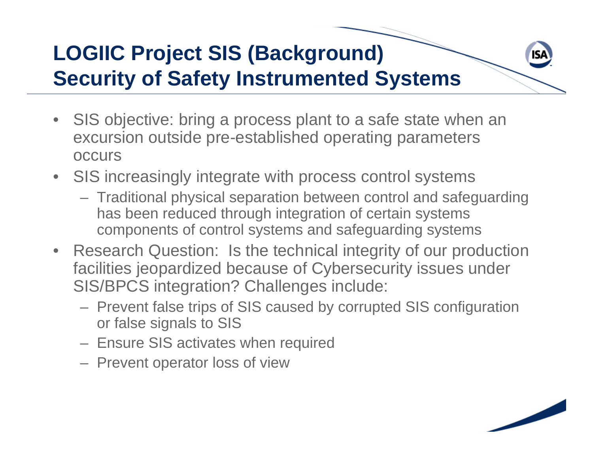# **LOGIIC Project SIS (Background) Security of Safety Instrumented Systems**

- SIS objective: bring a process plant to a safe state when an excursion outside pre-established operating parameters occurs
- SIS increasingly integrate with process control systems
	- Traditional physical separation between control and safeguarding has been reduced through integration of certain systems components of control systems and safeguarding systems
- Research Question: Is the technical integrity of our production facilities jeopardized because of Cybersecurity issues under SIS/BPCS integration? Challenges include:
	- Prevent false trips of SIS caused by corrupted SIS configuration or false signals to SIS
	- Ensure SIS activates when required
	- Prevent operator loss of view

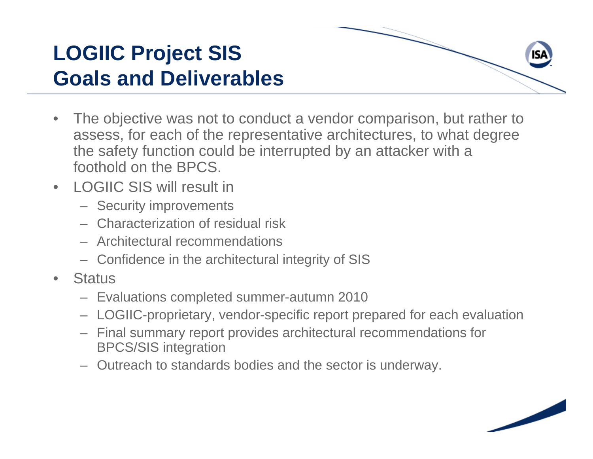### **LOGIIC Project SIS Goals and Deliverables**

- $\bullet$  The objective was not to conduct a vendor comparison, but rather to assess, for each of the representative architectures, to what degree the safety function could be interrupted by an attacker with a foothold on the BPCS.
- LOGIIC SIS will result in
	- Security improvements
	- Characterization of residual risk
	- Architectural recommendations
	- Confidence in the architectural integrity of SIS
- •**Status** 
	- Evaluations completed summer-autumn 2010
	- LOGIIC-proprietary, vendor-specific report prepared for each evaluation
	- Final summary report provides architectural recommendations for BPCS/SIS integration
	- Outreach to standards bodies and the sector is underway.

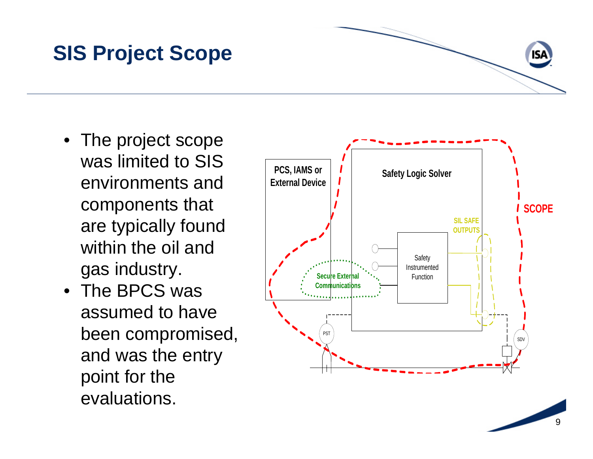#### **SIS Project Scope**

- The project scope was limited to SIS environments and components that are typically found within the oil and gas industry.
- The BPCS was assumed to have been compromised, and was the entry point for the evaluations.



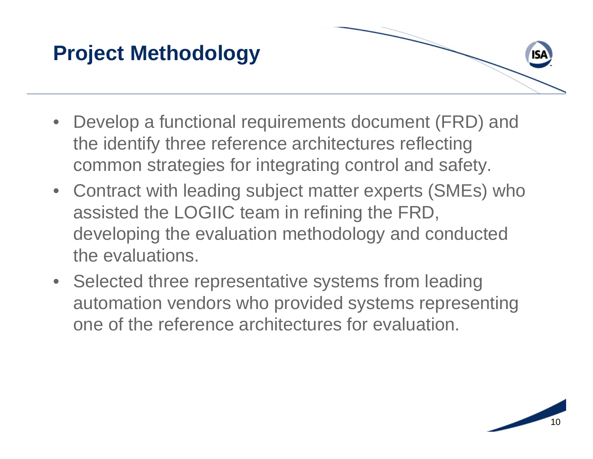#### **Project Methodology**

- Develop a functional requirements document (FRD) and the identify three reference architectures reflecting common strategies for integrating control and safety.
- Contract with leading subject matter experts (SMEs) who assisted the LOGIIC team in refining the FRD, developing the evaluation methodology and conducted the evaluations.
- Selected three representative systems from leading automation vendors who provided systems representing one of the reference architectures for evaluation.

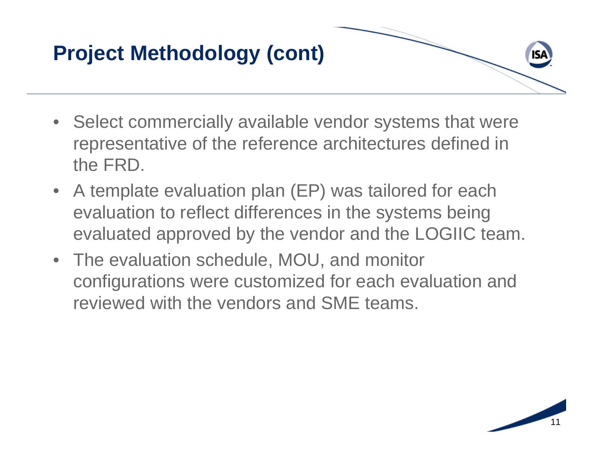### **Project Methodology (cont)**

- Select commercially available vendor systems that were representative of the reference architectures defined in the FRD.
- A template evaluation plan (EP) was tailored for each evaluation to reflect differences in the systems being evaluated approved by the vendor and the LOGIIC team.
- The evaluation schedule, MOU, and monitor configurations were customized for each evaluation and reviewed with the vendors and SME teams.



isa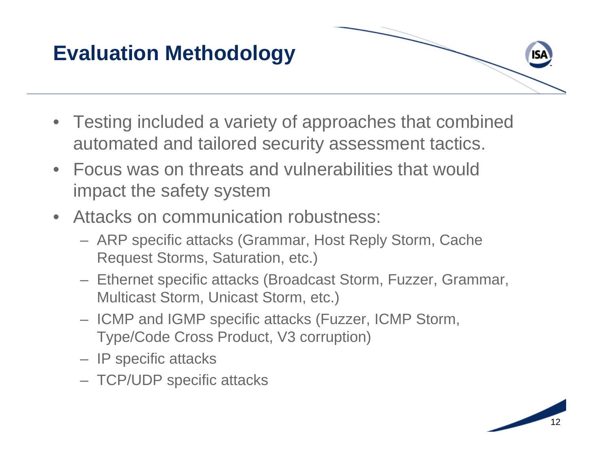# **Evaluation Methodology**

- Testing included a variety of approaches that combined automated and tailored security assessment tactics.
- Focus was on threats and vulnerabilities that would impact the safety system
- Attacks on communication robustness:
	- ARP specific attacks (Grammar, Host Reply Storm, Cache Request Storms, Saturation, etc.)
	- Ethernet specific attacks (Broadcast Storm, Fuzzer, Grammar, Multicast Storm, Unicast Storm, etc.)
	- ICMP and IGMP specific attacks (Fuzzer, ICMP Storm, Type/Code Cross Product, V3 corruption)
	- IP specific attacks
	- TCP/UDP specific attacks

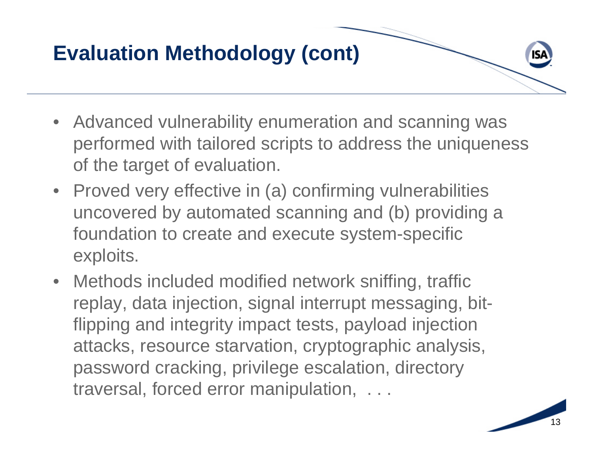# **Evaluation Methodology (cont)**

- Advanced vulnerability enumeration and scanning was performed with tailored scripts to address the uniqueness of the target of evaluation.
- Proved very effective in (a) confirming vulnerabilities uncovered by automated scanning and (b) providing a foundation to create and execute system-specific exploits.
- Methods included modified network sniffing, traffic replay, data injection, signal interrupt messaging, bitflipping and integrity impact tests, payload injection attacks, resource starvation, cryptographic analysis, password cracking, privilege escalation, directory traversal, forced error manipulation, . . .



isa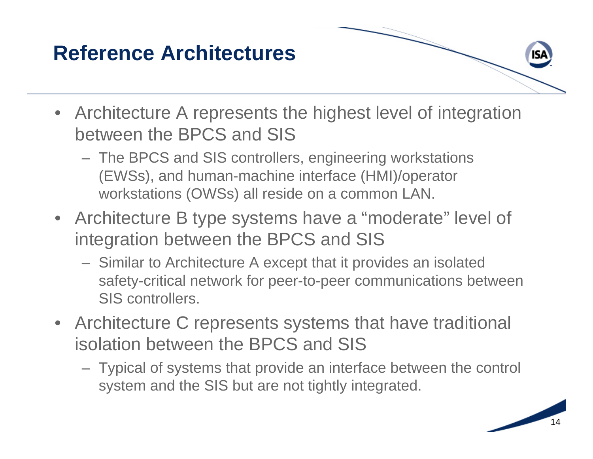### **Reference Architectures**

- Architecture A represents the highest level of integration between the BPCS and SIS
	- The BPCS and SIS controllers, engineering workstations (EWSs), and human-machine interface (HMI)/operator workstations (OWSs) all reside on a common LAN.
- Architecture B type systems have a "moderate" level of integration between the BPCS and SIS
	- Similar to Architecture A except that it provides an isolated safety-critical network for peer-to-peer communications between SIS controllers.
- Architecture C represents systems that have traditional isolation between the BPCS and SIS
	- Typical of systems that provide an interface between the control system and the SIS but are not tightly integrated.



ISΑ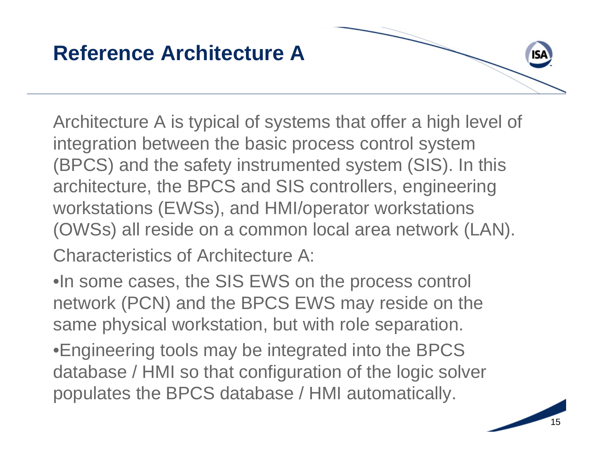### **Reference Architecture A**

Architecture A is typical of systems that offer a high level of integration between the basic process control system (BPCS) and the safety instrumented system (SIS). In this architecture, the BPCS and SIS controllers, engineering workstations (EWSs), and HMI/operator workstations (OWSs) all reside on a common local area network (LAN). Characteristics of Architecture A:

•In some cases, the SIS EWS on the process control network (PCN) and the BPCS EWS may reside on the same physical workstation, but with role separation.

•Engineering tools may be integrated into the BPCS database / HMI so that configuration of the logic solver populates the BPCS database / HMI automatically.

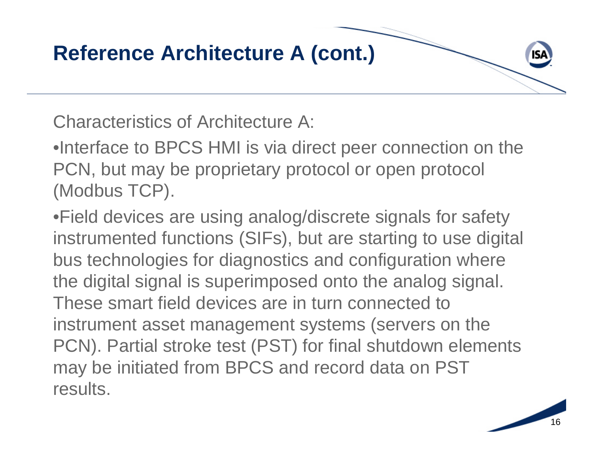

Characteristics of Architecture A:

•Interface to BPCS HMI is via direct peer connection on the PCN, but may be proprietary protocol or open protocol (Modbus TCP).

•Field devices are using analog/discrete signals for safety instrumented functions (SIFs), but are starting to use digital bus technologies for diagnostics and configuration where the digital signal is superimposed onto the analog signal. These smart field devices are in turn connected to instrument asset management systems (servers on the PCN). Partial stroke test (PST) for final shutdown elements may be initiated from BPCS and record data on PST results.